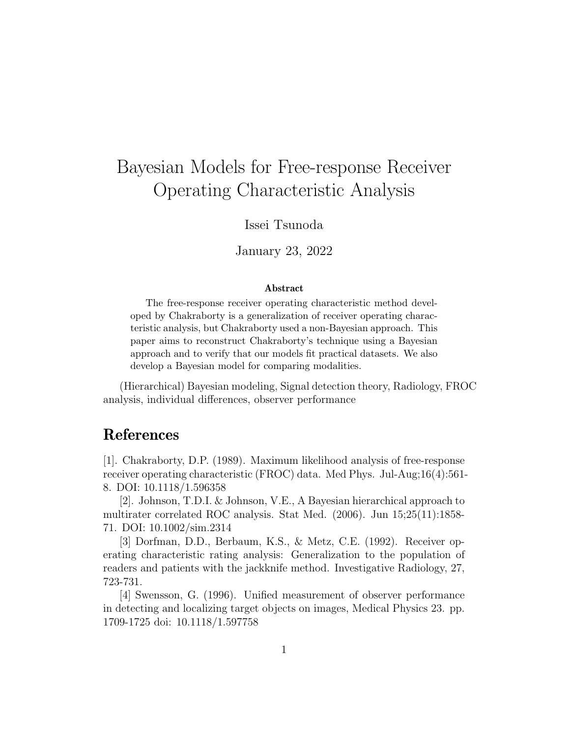## Bayesian Models for Free-response Receiver Operating Characteristic Analysis

Issei Tsunoda

January 23, 2022

## Abstract

The free-response receiver operating characteristic method developed by Chakraborty is a generalization of receiver operating characteristic analysis, but Chakraborty used a non-Bayesian approach. This paper aims to reconstruct Chakraborty's technique using a Bayesian approach and to verify that our models fit practical datasets. We also develop a Bayesian model for comparing modalities.

(Hierarchical) Bayesian modeling, Signal detection theory, Radiology, FROC analysis, individual differences, observer performance

## References

[1]. Chakraborty, D.P. (1989). Maximum likelihood analysis of free-response receiver operating characteristic (FROC) data. Med Phys. Jul-Aug;16(4):561- 8. DOI: 10.1118/1.596358

[2]. Johnson, T.D.I. & Johnson, V.E., A Bayesian hierarchical approach to multirater correlated ROC analysis. Stat Med. (2006). Jun 15;25(11):1858- 71. DOI: 10.1002/sim.2314

[3] Dorfman, D.D., Berbaum, K.S., & Metz, C.E. (1992). Receiver operating characteristic rating analysis: Generalization to the population of readers and patients with the jackknife method. Investigative Radiology, 27, 723-731.

[4] Swensson, G. (1996). Unified measurement of observer performance in detecting and localizing target objects on images, Medical Physics 23. pp. 1709-1725 doi: 10.1118/1.597758